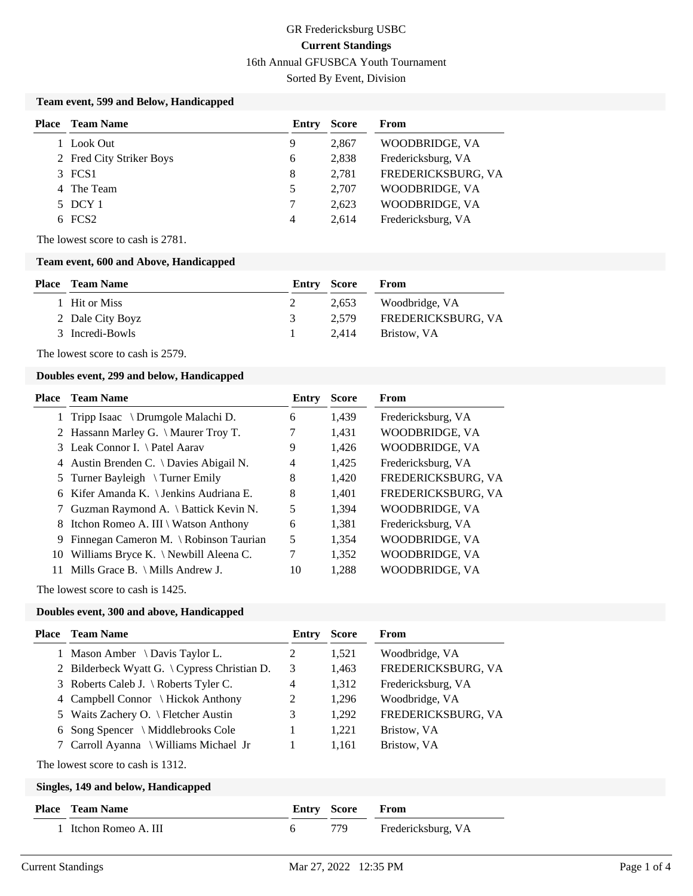## GR Fredericksburg USBC **Current Standings** 16th Annual GFUSBCA Youth Tournament Sorted By Event, Division

#### **Team event, 599 and Below, Handicapped**

| Place | <b>Team Name</b>         | Entry | Score | From               |
|-------|--------------------------|-------|-------|--------------------|
|       | Look Out                 | 9     | 2,867 | WOODBRIDGE, VA     |
|       | 2 Fred City Striker Boys | 6     | 2,838 | Fredericksburg, VA |
|       | 3 FCS1                   | 8     | 2,781 | FREDERICKSBURG, VA |
|       | 4 The Team               | 5     | 2,707 | WOODBRIDGE, VA     |
|       | 5 DCY 1                  |       | 2.623 | WOODBRIDGE, VA     |
|       | $6$ FCS2                 | 4     | 2.614 | Fredericksburg, VA |

The lowest score to cash is 2781.

#### **Team event, 600 and Above, Handicapped**

| <b>Place</b> Team Name |    | Entry Score | From               |
|------------------------|----|-------------|--------------------|
| 1 Hit or Miss          |    | 2.653       | Woodbridge, VA     |
| 2 Dale City Boyz       | 3. | 2.579       | FREDERICKSBURG, VA |
| 3 Incredi-Bowls        |    | 2.414       | Bristow, VA        |

The lowest score to cash is 2579.

#### **Doubles event, 299 and below, Handicapped**

|    | <b>Place – Team Name</b>                   | Entry | <b>Score</b> | <b>From</b>        |
|----|--------------------------------------------|-------|--------------|--------------------|
|    | 1 Tripp Isaac \ Drumgole Malachi D.        | 6     | 1,439        | Fredericksburg, VA |
|    | 2 Hassann Marley G. \ Maurer Troy T.       | 7     | 1,431        | WOODBRIDGE, VA     |
|    | 3 Leak Connor I. \ Patel Aarav             | 9     | 1,426        | WOODBRIDGE, VA     |
|    | 4 Austin Brenden C. \ Davies Abigail N.    | 4     | 1,425        | Fredericksburg, VA |
|    | 5 Turner Bayleigh $\Im$ Turner Emily       | 8     | 1,420        | FREDERICKSBURG, VA |
|    | 6 Kifer Amanda K. \ Jenkins Audriana E.    | 8     | 1,401        | FREDERICKSBURG, VA |
|    | 7 Guzman Raymond A. \ Battick Kevin N.     | 5     | 1,394        | WOODBRIDGE, VA     |
|    | 8 Itchon Romeo A. III \ Watson Anthony     | 6     | 1,381        | Fredericksburg, VA |
|    | 9 Finnegan Cameron M. \ Robinson Taurian   | 5     | 1,354        | WOODBRIDGE, VA     |
| 10 | Williams Bryce K. $\N$ ewbill Aleena C.    | 7     | 1,352        | WOODBRIDGE, VA     |
| 11 | Mills Grace B. $\setminus$ Mills Andrew J. | 10    | 1,288        | WOODBRIDGE, VA     |
|    |                                            |       |              |                    |

The lowest score to cash is 1425.

#### **Doubles event, 300 and above, Handicapped**

|       | <b>Place</b> Team Name                          | Entry | <b>Score</b> | From               |
|-------|-------------------------------------------------|-------|--------------|--------------------|
|       | 1 Mason Amber \ Davis Taylor L.                 | 2     | 1,521        | Woodbridge, VA     |
|       | 2 Bilderbeck Wyatt G. $\{$ Cypress Christian D. | 3     | 1,463        | FREDERICKSBURG, VA |
|       | 3 Roberts Caleb J. \ Roberts Tyler C.           | 4     | 1,312        | Fredericksburg, VA |
|       | 4 Campbell Connor \ Hickok Anthony              | 2     | 1,296        | Woodbridge, VA     |
| 5     | Waits Zachery O. $\setminus$ Fletcher Austin    | 3     | 1,292        | FREDERICKSBURG, VA |
| 6     | Song Spencer $\setminus$ Middlebrooks Cole      | 1     | 1,221        | Bristow, VA        |
|       | 7 Carroll Ayanna \ Williams Michael Jr          |       | 1,161        | Bristow, VA        |
|       | The lowest score to cash is 1312.               |       |              |                    |
|       | Singles, 149 and below, Handicapped             |       |              |                    |
| Place | Team Name                                       | Entry | <b>Score</b> | From               |
|       | Itchon Romeo A. III                             | 6     | 779          | Fredericksburg, VA |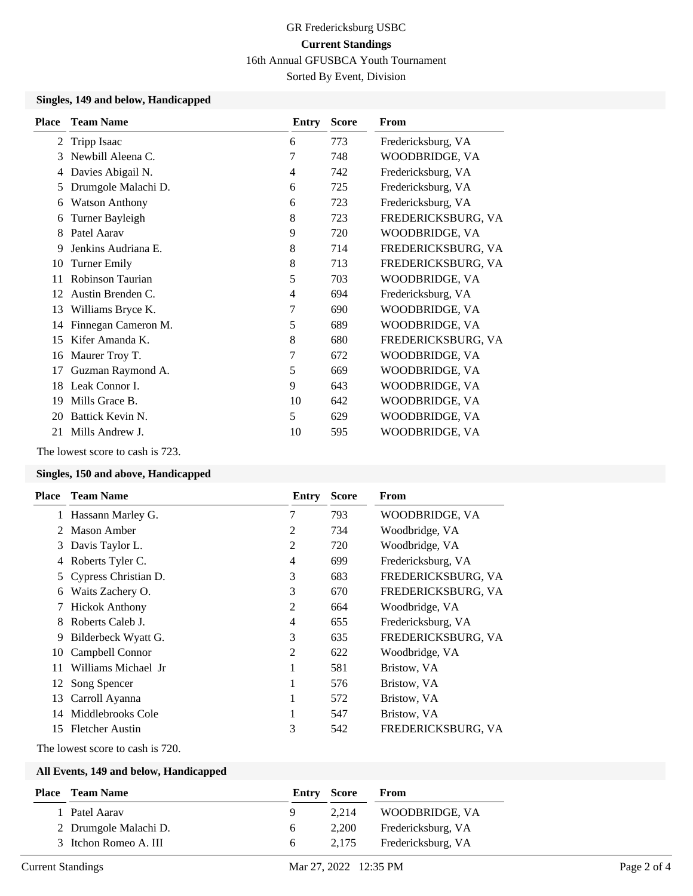# GR Fredericksburg USBC **Current Standings**

16th Annual GFUSBCA Youth Tournament

Sorted By Event, Division

### **Singles, 149 and below, Handicapped**

| <b>Place</b> | <b>Team Name</b>      | Entry | <b>Score</b> | From               |
|--------------|-----------------------|-------|--------------|--------------------|
| 2            | Tripp Isaac           | 6     | 773          | Fredericksburg, VA |
| 3            | Newbill Aleena C.     | 7     | 748          | WOODBRIDGE, VA     |
| 4            | Davies Abigail N.     | 4     | 742          | Fredericksburg, VA |
| 5            | Drumgole Malachi D.   | 6     | 725          | Fredericksburg, VA |
| 6            | <b>Watson Anthony</b> | 6     | 723          | Fredericksburg, VA |
| 6            | Turner Bayleigh       | 8     | 723          | FREDERICKSBURG, VA |
| 8            | Patel Aarav           | 9     | 720          | WOODBRIDGE, VA     |
| 9            | Jenkins Audriana E.   | 8     | 714          | FREDERICKSBURG, VA |
| 10           | <b>Turner Emily</b>   | 8     | 713          | FREDERICKSBURG, VA |
| 11           | Robinson Taurian      | 5     | 703          | WOODBRIDGE, VA     |
| 12           | Austin Brenden C.     | 4     | 694          | Fredericksburg, VA |
| 13           | Williams Bryce K.     | 7     | 690          | WOODBRIDGE, VA     |
| 14           | Finnegan Cameron M.   | 5     | 689          | WOODBRIDGE, VA     |
| 15           | Kifer Amanda K.       | 8     | 680          | FREDERICKSBURG, VA |
| 16           | Maurer Troy T.        | 7     | 672          | WOODBRIDGE, VA     |
| 17           | Guzman Raymond A.     | 5     | 669          | WOODBRIDGE, VA     |
| 18           | Leak Connor I.        | 9     | 643          | WOODBRIDGE, VA     |
| 19           | Mills Grace B.        | 10    | 642          | WOODBRIDGE, VA     |
| 20           | Battick Kevin N.      | 5     | 629          | WOODBRIDGE, VA     |
| 21           | Mills Andrew J.       | 10    | 595          | WOODBRIDGE, VA     |

The lowest score to cash is 723.

## **Singles, 150 and above, Handicapped**

| Place         | <b>Team Name</b>       | Entry          | <b>Score</b> | <b>From</b>        |
|---------------|------------------------|----------------|--------------|--------------------|
|               | 1 Hassann Marley G.    | 7              | 793          | WOODBRIDGE, VA     |
| $\mathcal{L}$ | Mason Amber            | 2              | 734          | Woodbridge, VA     |
| 3             | Davis Taylor L.        | $\overline{c}$ | 720          | Woodbridge, VA     |
| 4             | Roberts Tyler C.       | 4              | 699          | Fredericksburg, VA |
|               | Cypress Christian D.   | 3              | 683          | FREDERICKSBURG, VA |
| 6             | Waits Zachery O.       | 3              | 670          | FREDERICKSBURG, VA |
|               | <b>Hickok Anthony</b>  | $\overline{c}$ | 664          | Woodbridge, VA     |
|               | Roberts Caleb J.       | 4              | 655          | Fredericksburg, VA |
| 9             | Bilderbeck Wyatt G.    | 3              | 635          | FREDERICKSBURG, VA |
| 10            | Campbell Connor        | 2              | 622          | Woodbridge, VA     |
| 11            | Williams Michael Jr    | 1              | 581          | Bristow, VA        |
| 12            | Song Spencer           | 1              | 576          | Bristow, VA        |
| 13            | Carroll Ayanna         | 1              | 572          | Bristow, VA        |
| 14            | Middlebrooks Cole      | 1              | 547          | Bristow, VA        |
| 15.           | <b>Fletcher Austin</b> | 3              | 542          | FREDERICKSBURG, VA |

The lowest score to cash is 720.

## **All Events, 149 and below, Handicapped**

| <b>Place</b> Team Name |          | Entry Score | From               |
|------------------------|----------|-------------|--------------------|
| Patel Aarav            |          | 2.214       | WOODBRIDGE, VA     |
| 2 Drumgole Malachi D.  | $\sigma$ | 2,200       | Fredericksburg, VA |
| 3 Itchon Romeo A. III  | 6        | 2.175       | Fredericksburg, VA |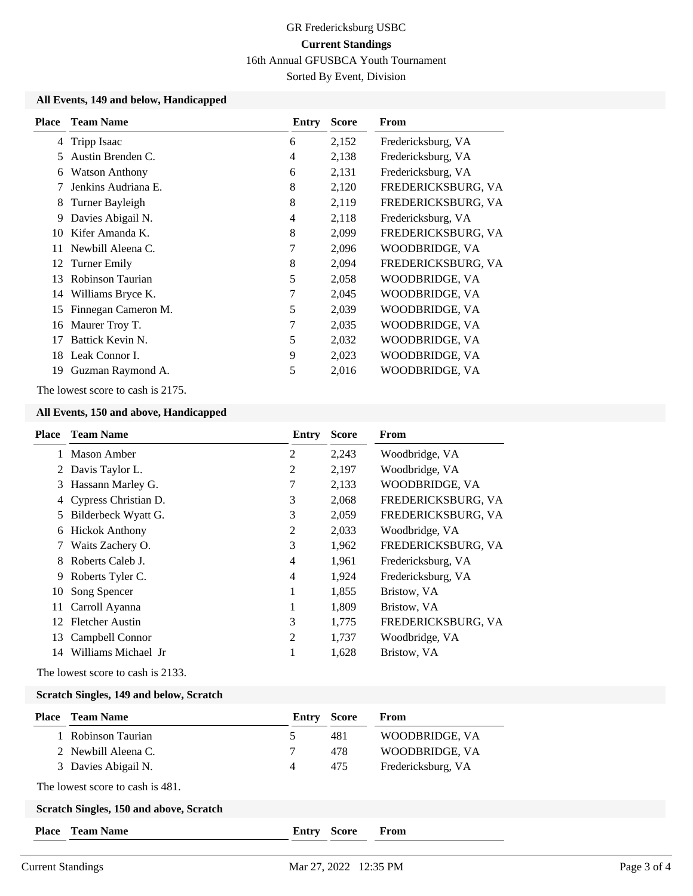# GR Fredericksburg USBC **Current Standings**

16th Annual GFUSBCA Youth Tournament

Sorted By Event, Division

#### **All Events, 149 and below, Handicapped**

| <b>Place</b> | <b>Team Name</b>      | Entry | <b>Score</b> | From               |
|--------------|-----------------------|-------|--------------|--------------------|
| 4            | Tripp Isaac           | 6     | 2,152        | Fredericksburg, VA |
| 5            | Austin Brenden C.     | 4     | 2,138        | Fredericksburg, VA |
| 6            | <b>Watson Anthony</b> | 6     | 2,131        | Fredericksburg, VA |
|              | Jenkins Audriana E.   | 8     | 2,120        | FREDERICKSBURG, VA |
| 8            | Turner Bayleigh       | 8     | 2,119        | FREDERICKSBURG, VA |
| 9            | Davies Abigail N.     | 4     | 2,118        | Fredericksburg, VA |
| 10           | Kifer Amanda K.       | 8     | 2,099        | FREDERICKSBURG, VA |
| 11           | Newbill Aleena C.     | 7     | 2,096        | WOODBRIDGE, VA     |
| 12           | Turner Emily          | 8     | 2,094        | FREDERICKSBURG, VA |
| 13           | Robinson Taurian      | 5     | 2,058        | WOODBRIDGE, VA     |
| 14           | Williams Bryce K.     | 7     | 2,045        | WOODBRIDGE, VA     |
| 15           | Finnegan Cameron M.   | 5     | 2,039        | WOODBRIDGE, VA     |
| 16           | Maurer Troy T.        | 7     | 2,035        | WOODBRIDGE, VA     |
| 17           | Battick Kevin N.      | 5     | 2,032        | WOODBRIDGE, VA     |
|              | 18 Leak Connor I.     | 9     | 2,023        | WOODBRIDGE, VA     |
| 19           | Guzman Raymond A.     | 5     | 2,016        | WOODBRIDGE, VA     |
|              |                       |       |              |                    |

The lowest score to cash is 2175.

### **All Events, 150 and above, Handicapped**

| Place | <b>Team Name</b>       | Entry | <b>Score</b> | From               |
|-------|------------------------|-------|--------------|--------------------|
| 1     | <b>Mason Amber</b>     | 2     | 2,243        | Woodbridge, VA     |
|       | 2 Davis Taylor L.      | 2     | 2,197        | Woodbridge, VA     |
| 3     | Hassann Marley G.      | 7     | 2,133        | WOODBRIDGE, VA     |
| 4     | Cypress Christian D.   | 3     | 2,068        | FREDERICKSBURG, VA |
| 5     | Bilderbeck Wyatt G.    | 3     | 2,059        | FREDERICKSBURG, VA |
| 6     | <b>Hickok Anthony</b>  | 2     | 2,033        | Woodbridge, VA     |
|       | Waits Zachery O.       | 3     | 1,962        | FREDERICKSBURG, VA |
| 8     | Roberts Caleb J.       | 4     | 1,961        | Fredericksburg, VA |
| 9     | Roberts Tyler C.       | 4     | 1,924        | Fredericksburg, VA |
| 10    | Song Spencer           | 1     | 1,855        | Bristow, VA        |
| 11    | Carroll Ayanna         | 1     | 1,809        | Bristow, VA        |
| 12    | <b>Fletcher Austin</b> | 3     | 1,775        | FREDERICKSBURG, VA |
| 13    | Campbell Connor        | 2     | 1,737        | Woodbridge, VA     |
| 14    | Williams Michael Jr    |       | 1,628        | Bristow, VA        |

The lowest score to cash is 2133.

#### **Scratch Singles, 149 and below, Scratch**

| Place        | <b>Team Name</b>                        | Entry | <b>Score</b> | From               |
|--------------|-----------------------------------------|-------|--------------|--------------------|
|              | Robinson Taurian                        | 5     | 481          | WOODBRIDGE, VA     |
|              | 2 Newbill Aleena C.                     | 7     | 478          | WOODBRIDGE, VA     |
|              | 3 Davies Abigail N.                     | 4     | 475          | Fredericksburg, VA |
|              | The lowest score to cash is 481.        |       |              |                    |
|              | Scratch Singles, 150 and above, Scratch |       |              |                    |
| <b>Place</b> | <b>Team Name</b>                        | Entry | <b>Score</b> | From               |